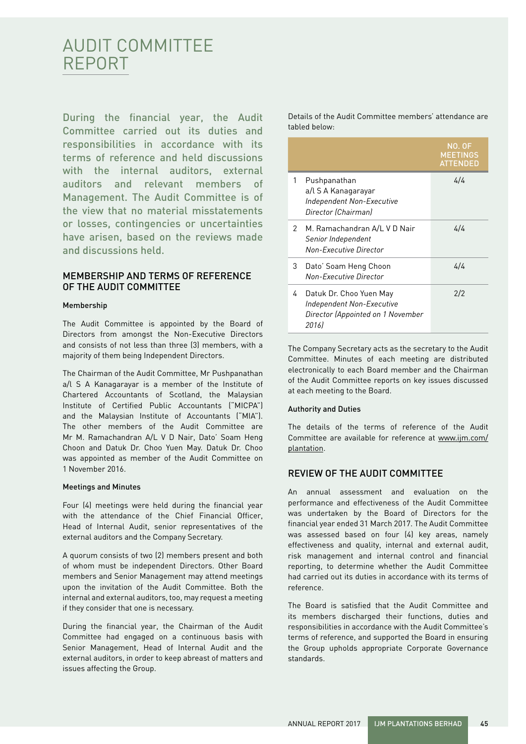# AUDIT COMMITTEE REPORT

During the financial year, the Audit Committee carried out its duties and responsibilities in accordance with its terms of reference and held discussions with the internal auditors, external auditors and relevant members of Management. The Audit Committee is of the view that no material misstatements or losses, contingencies or uncertainties have arisen, based on the reviews made and discussions held.

# MEMBERSHIP AND TERMS OF REFERENCE OF THE AUDIT COMMITTEE

#### Membership

The Audit Committee is appointed by the Board of Directors from amongst the Non-Executive Directors and consists of not less than three (3) members, with a majority of them being Independent Directors.

The Chairman of the Audit Committee, Mr Pushpanathan a/l S A Kanagarayar is a member of the Institute of Chartered Accountants of Scotland, the Malaysian Institute of Certified Public Accountants ("MICPA") and the Malaysian Institute of Accountants ("MIA"). The other members of the Audit Committee are Mr M. Ramachandran A/L V D Nair, Dato' Soam Heng Choon and Datuk Dr. Choo Yuen May. Datuk Dr. Choo was appointed as member of the Audit Committee on 1 November 2016.

#### Meetings and Minutes

Four (4) meetings were held during the financial year with the attendance of the Chief Financial Officer, Head of Internal Audit, senior representatives of the external auditors and the Company Secretary.

A quorum consists of two (2) members present and both of whom must be independent Directors. Other Board members and Senior Management may attend meetings upon the invitation of the Audit Committee. Both the internal and external auditors, too, may request a meeting if they consider that one is necessary.

During the financial year, the Chairman of the Audit Committee had engaged on a continuous basis with Senior Management, Head of Internal Audit and the external auditors, in order to keep abreast of matters and issues affecting the Group.

Details of the Audit Committee members' attendance are tabled below:

|   |                                                                                                    | <u>N</u> O. OF<br><b>MEETINGS</b><br><b>ATTENDED</b> |
|---|----------------------------------------------------------------------------------------------------|------------------------------------------------------|
| 1 | Pushpanathan<br>a/l S A Kanagarayar<br><b>Independent Non-Executive</b><br>Director (Chairman)     | 4/4                                                  |
| 2 | M. Ramachandran A/L V D Nair<br>Senior Independent<br>Non-Executive Director                       | 4/4                                                  |
| 3 | Dato' Soam Heng Choon<br>Non-Executive Director                                                    | 4/4                                                  |
| 4 | Datuk Dr. Choo Yuen May<br>Independent Non-Executive<br>Director (Appointed on 1 November<br>20161 | 2/2                                                  |

The Company Secretary acts as the secretary to the Audit Committee. Minutes of each meeting are distributed electronically to each Board member and the Chairman of the Audit Committee reports on key issues discussed at each meeting to the Board.

#### Authority and Duties

The details of the terms of reference of the Audit Committee are available for reference at www.ijm.com/ plantation.

# REVIEW OF THE AUDIT COMMITTEE

An annual assessment and evaluation on the performance and effectiveness of the Audit Committee was undertaken by the Board of Directors for the financial year ended 31 March 2017. The Audit Committee was assessed based on four (4) key areas, namely effectiveness and quality, internal and external audit, risk management and internal control and financial reporting, to determine whether the Audit Committee had carried out its duties in accordance with its terms of reference.

The Board is satisfied that the Audit Committee and its members discharged their functions, duties and responsibilities in accordance with the Audit Committee's terms of reference, and supported the Board in ensuring the Group upholds appropriate Corporate Governance standards.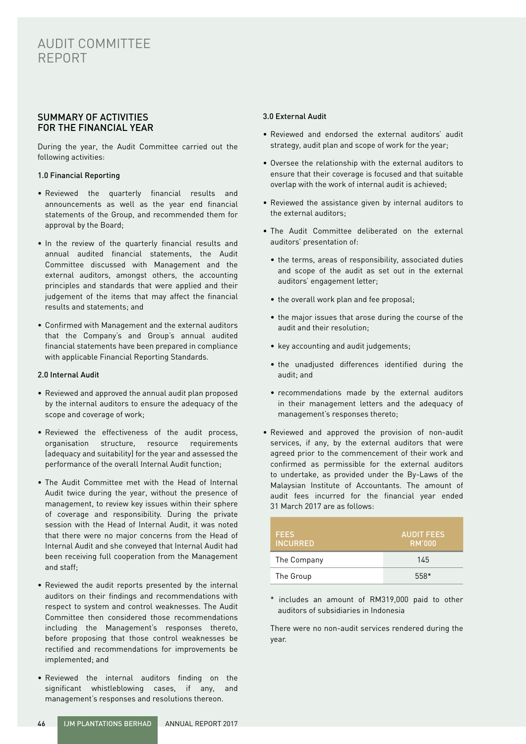# AUDIT COMMITTEE REPORT

# SUMMARY OF ACTIVITIES FOR THE FINANCIAL YEAR

During the year, the Audit Committee carried out the following activities:

#### 1.0 Financial Reporting

- Reviewed the quarterly financial results and announcements as well as the year end financial statements of the Group, and recommended them for approval by the Board;
- In the review of the quarterly financial results and annual audited financial statements, the Audit Committee discussed with Management and the external auditors, amongst others, the accounting principles and standards that were applied and their judgement of the items that may affect the financial results and statements; and
- Confirmed with Management and the external auditors that the Company's and Group's annual audited financial statements have been prepared in compliance with applicable Financial Reporting Standards.

#### 2.0 Internal Audit

- Reviewed and approved the annual audit plan proposed by the internal auditors to ensure the adequacy of the scope and coverage of work;
- Reviewed the effectiveness of the audit process, organisation structure, resource requirements (adequacy and suitability) for the year and assessed the performance of the overall Internal Audit function;
- The Audit Committee met with the Head of Internal Audit twice during the year, without the presence of management, to review key issues within their sphere of coverage and responsibility. During the private session with the Head of Internal Audit, it was noted that there were no major concerns from the Head of Internal Audit and she conveyed that Internal Audit had been receiving full cooperation from the Management and staff;
- Reviewed the audit reports presented by the internal auditors on their findings and recommendations with respect to system and control weaknesses. The Audit Committee then considered those recommendations including the Management's responses thereto, before proposing that those control weaknesses be rectified and recommendations for improvements be implemented; and
- Reviewed the internal auditors finding on the significant whistleblowing cases, if any, and management's responses and resolutions thereon.

#### 3.0 External Audit

- Reviewed and endorsed the external auditors' audit strategy, audit plan and scope of work for the year;
- Oversee the relationship with the external auditors to ensure that their coverage is focused and that suitable overlap with the work of internal audit is achieved;
- Reviewed the assistance given by internal auditors to the external auditors;
- The Audit Committee deliberated on the external auditors' presentation of:
	- the terms, areas of responsibility, associated duties and scope of the audit as set out in the external auditors' engagement letter;
	- the overall work plan and fee proposal;
	- the major issues that arose during the course of the audit and their resolution;
	- key accounting and audit judgements;
	- the unadjusted differences identified during the audit; and
	- recommendations made by the external auditors in their management letters and the adequacy of management's responses thereto;
- Reviewed and approved the provision of non-audit services, if any, by the external auditors that were agreed prior to the commencement of their work and confirmed as permissible for the external auditors to undertake, as provided under the By-Laws of the Malaysian Institute of Accountants. The amount of audit fees incurred for the financial year ended 31 March 2017 are as follows:

| <b>FEES</b><br><b>INCURRED</b> | <b>AUDIT FEES</b><br><b>RM'000</b> |
|--------------------------------|------------------------------------|
| The Company                    | 145                                |
| The Group                      | 558*                               |

\* includes an amount of RM319,000 paid to other auditors of subsidiaries in Indonesia

There were no non-audit services rendered during the year.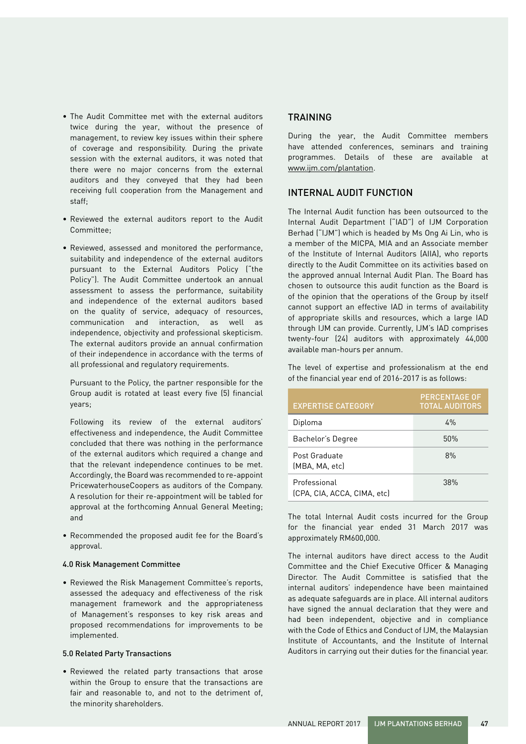- The Audit Committee met with the external auditors twice during the year, without the presence of management, to review key issues within their sphere of coverage and responsibility. During the private session with the external auditors, it was noted that there were no major concerns from the external auditors and they conveyed that they had been receiving full cooperation from the Management and staff;
- Reviewed the external auditors report to the Audit Committee;
- Reviewed, assessed and monitored the performance, suitability and independence of the external auditors pursuant to the External Auditors Policy ("the Policy"). The Audit Committee undertook an annual assessment to assess the performance, suitability and independence of the external auditors based on the quality of service, adequacy of resources, communication and interaction, as well as independence, objectivity and professional skepticism. The external auditors provide an annual confirmation of their independence in accordance with the terms of all professional and regulatory requirements.

Pursuant to the Policy, the partner responsible for the Group audit is rotated at least every five (5) financial years;

Following its review of the external auditors' effectiveness and independence, the Audit Committee concluded that there was nothing in the performance of the external auditors which required a change and that the relevant independence continues to be met. Accordingly, the Board was recommended to re-appoint PricewaterhouseCoopers as auditors of the Company. A resolution for their re-appointment will be tabled for approval at the forthcoming Annual General Meeting; and

• Recommended the proposed audit fee for the Board's approval.

#### 4.0 Risk Management Committee

• Reviewed the Risk Management Committee's reports, assessed the adequacy and effectiveness of the risk management framework and the appropriateness of Management's responses to key risk areas and proposed recommendations for improvements to be implemented.

#### 5.0 Related Party Transactions

• Reviewed the related party transactions that arose within the Group to ensure that the transactions are fair and reasonable to, and not to the detriment of, the minority shareholders.

### **TRAINING**

During the year, the Audit Committee members have attended conferences, seminars and training programmes. Details of these are available at www.ijm.com/plantation.

### INTERNAL AUDIT FUNCTION

The Internal Audit function has been outsourced to the Internal Audit Department ("IAD") of IJM Corporation Berhad ("IJM") which is headed by Ms Ong Ai Lin, who is a member of the MICPA, MIA and an Associate member of the Institute of Internal Auditors (AIIA), who reports directly to the Audit Committee on its activities based on the approved annual Internal Audit Plan. The Board has chosen to outsource this audit function as the Board is of the opinion that the operations of the Group by itself cannot support an effective IAD in terms of availability of appropriate skills and resources, which a large IAD through IJM can provide. Currently, IJM's IAD comprises twenty-four (24) auditors with approximately 44,000 available man-hours per annum.

The level of expertise and professionalism at the end of the financial year end of 2016-2017 is as follows:

| <b>EXPERTISE CATEGORY</b>                   | <b>PERCENTAGE OF</b><br><b>TOTAL AUDITORS</b> |
|---------------------------------------------|-----------------------------------------------|
| Diploma                                     | 4%                                            |
| Bachelor's Degree                           | 50%                                           |
| Post Graduate<br>(MBA, MA, etc)             | 8%                                            |
| Professional<br>(CPA, CIA, ACCA, CIMA, etc) | 38%                                           |

The total Internal Audit costs incurred for the Group for the financial year ended 31 March 2017 was approximately RM600,000.

The internal auditors have direct access to the Audit Committee and the Chief Executive Officer & Managing Director. The Audit Committee is satisfied that the internal auditors' independence have been maintained as adequate safeguards are in place. All internal auditors have signed the annual declaration that they were and had been independent, objective and in compliance with the Code of Ethics and Conduct of IJM, the Malaysian Institute of Accountants, and the Institute of Internal Auditors in carrying out their duties for the financial year.